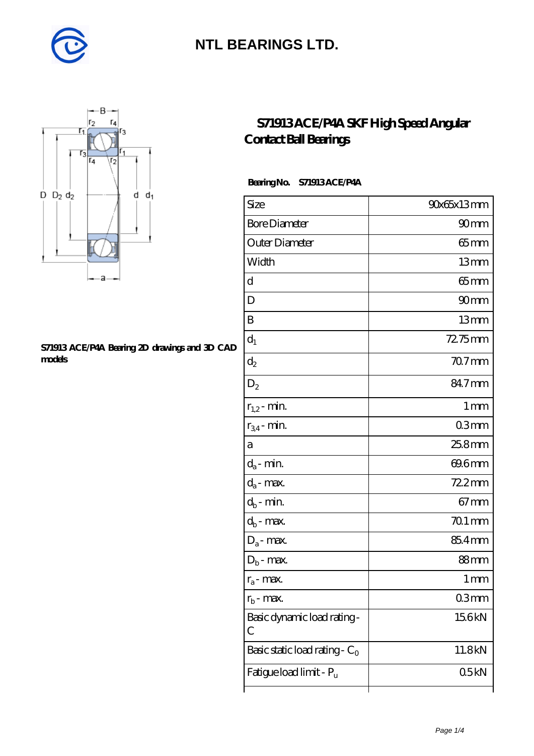



#### **[S71913 ACE/P4A Bearing 2D drawings and 3D CAD](https://diabetesfriends.net/pic-590728.html) [models](https://diabetesfriends.net/pic-590728.html)**

### **[S71913 ACE/P4A SKF High Speed Angular](https://diabetesfriends.net/skf-bearing/s71913-ace-p4a.html) [Contact Ball Bearings](https://diabetesfriends.net/skf-bearing/s71913-ace-p4a.html)**

### **Bearing No. S71913 ACE/P4A**

| Size                             | 90x65x13mm       |
|----------------------------------|------------------|
| <b>Bore Diameter</b>             | 90 <sub>mm</sub> |
| Outer Diameter                   | $65 \text{mm}$   |
| Width                            | 13mm             |
| d                                | $65$ mm          |
| D                                | 90 <sub>mm</sub> |
| B                                | 13mm             |
| $d_1$                            | 72.75mm          |
| $\mathrm{d}_2$                   | $707$ mm         |
| $D_2$                            | 84.7mm           |
| $r_{1,2}$ - min.                 | 1 <sub>mm</sub>  |
| $r_{34}$ - min.                  | 03 <sub>mm</sub> |
| а                                | 25.8mm           |
| $d_a$ - min.                     | 69.6mm           |
| $d_a$ - max.                     | $722$ mm         |
| $d_b$ - min.                     | $67 \text{mm}$   |
| $d_b$ - max.                     | $701$ mm         |
| $D_a$ - max.                     | 85.4mm           |
| $D_b$ - max.                     | 88mm             |
| $r_a$ - max.                     | 1 mm             |
| $r_{\rm b}$ - max.               | 03mm             |
| Basic dynamic load rating-<br>С  | 15.6kN           |
| Basic static load rating - $C_0$ | 11.8kN           |
| Fatigue load limit - Pu          | 05kN             |
|                                  |                  |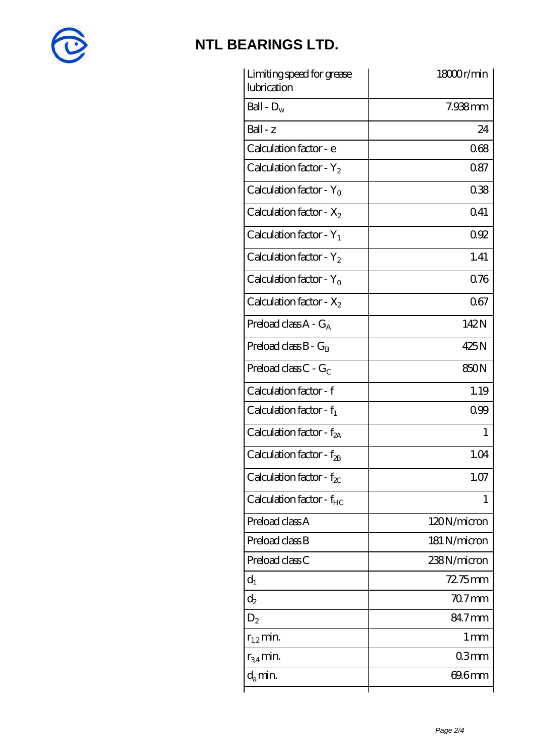

| Limiting speed for grease<br>lubrication | 18000r/min      |
|------------------------------------------|-----------------|
| Ball - $D_w$                             | 7.938mm         |
| $Ball - z$                               | 24              |
| Calculation factor - e                   | 068             |
| Calculation factor - $Y_2$               | 087             |
| Calculation factor - $Y_0$               | 038             |
| Calculation factor - $X_2$               | 041             |
| Calculation factor - $Y_1$               | 092             |
| Calculation factor - $Y_2$               | 1.41            |
| Calculation factor - $Y_0$               | 076             |
| Calculation factor - $X_2$               | 067             |
| Preload class $A - G_A$                  | 142N            |
| Preload class $B - G_B$                  | 425N            |
| Preload class $C$ - $G_C$                | 850N            |
| Calculation factor - f                   | 1.19            |
| Calculation factor - $f_1$               | 099             |
| Calculation factor - $f_{2A}$            | 1               |
| Calculation factor - f <sub>2B</sub>     | 1.04            |
| Calculation factor - $f_{\chi}$          | 1.07            |
| Calculation factor - $f_{HC}$            | T               |
| Preload class A                          | 120N/micron     |
| Preload class B                          | 181 N/micron    |
| Preload class C                          | 238N/micron     |
| $d_1$                                    | 72.75mm         |
| $\mathrm{d}_2$                           | $707$ mm        |
| $D_2$                                    | 84.7mm          |
| $r_{1,2}$ min.                           | 1 <sub>mm</sub> |
| $r_{34}$ min.                            | 03mm            |
| $d_{a}$ min.                             | 69.6mm          |
|                                          |                 |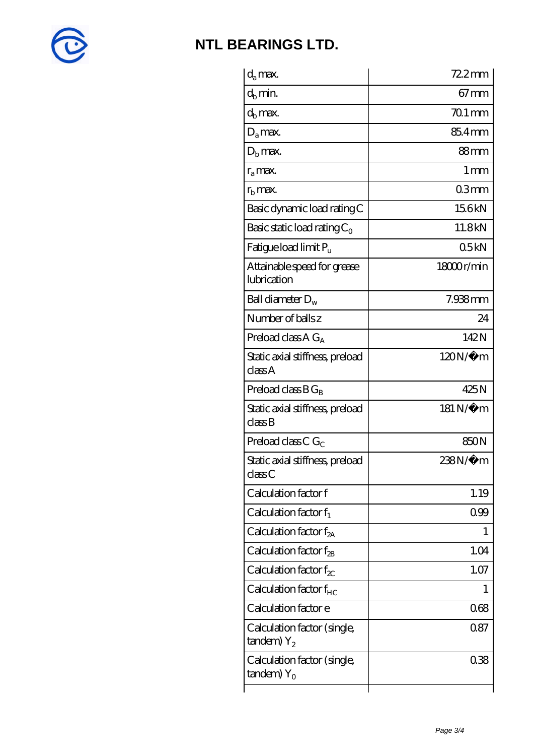

| $d_a$ max.                                               | $722$ mm        |
|----------------------------------------------------------|-----------------|
| $d_b$ min.                                               | $67 \text{mm}$  |
| $d_h$ max.                                               | $701$ mm        |
| $D_a$ max.                                               | 85.4mm          |
| $Db$ max.                                                | 88mm            |
| $r_a$ max.                                               | 1 <sub>mm</sub> |
| $r_{\rm b}$ max.                                         | 03mm            |
| Basic dynamic load rating C                              | 156kN           |
| Basic static load rating $C_0$                           | 11.8kN          |
| Fatigue load limit $P_u$                                 | 05kN            |
| Attainable speed for grease<br>lubrication               | 18000r/min      |
| Ball diameter $D_w$                                      | 7.938mm         |
| Number of balls z                                        | 24              |
| Preload class $AG_A$                                     | 142N            |
| Static axial stiffness, preload<br>classA                | $120N/\mu$ m    |
| Preload class $BG_R$                                     | 425N            |
| Static axial stiffness, preload<br>classB                | 181 N/μ m       |
| Preload class C $G_C$                                    | 850N            |
| Static axial stiffness, preload<br>classC                | 238N/µ m        |
| Calculation factor f                                     | 1.19            |
| Calculation factor $f_1$                                 | 099             |
| Calculation factor $f_{2A}$                              | 1               |
| Calculation factor $f_{\rm 2B}$                          | 1.04            |
| Calculation factor $f_{\chi}$                            | 1.07            |
| Calculation factor $f_{HC}$                              | 1               |
| Calculation factor e                                     | 068             |
| Calculation factor (single,<br>$t$ andem) $Y_2$          | 0.87            |
| Calculation factor (single,<br>$t$ andem) Y <sub>o</sub> | 038             |
|                                                          |                 |